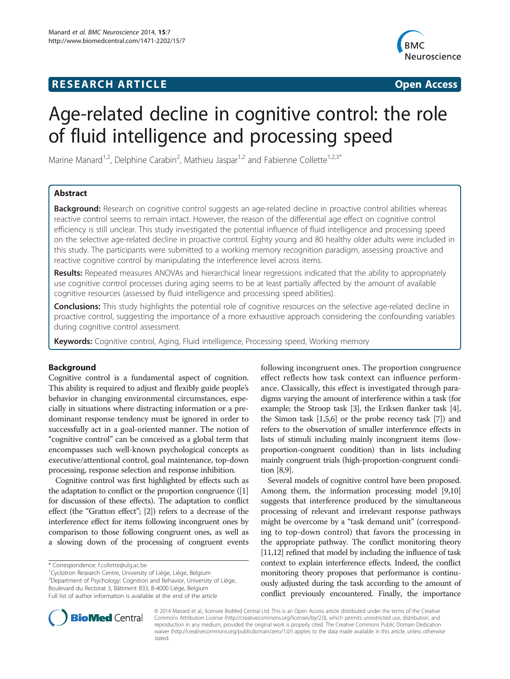## **RESEARCH ARTICLE Example 2018 12:00 Department of the CONNECTION CONNECTION CONNECTION CONNECTION**



# Age-related decline in cognitive control: the role of fluid intelligence and processing speed

Marine Manard<sup>1,2</sup>, Delphine Carabin<sup>2</sup>, Mathieu Jaspar<sup>1,2</sup> and Fabienne Collette<sup>1,2,3\*</sup>

### Abstract

Background: Research on cognitive control suggests an age-related decline in proactive control abilities whereas reactive control seems to remain intact. However, the reason of the differential age effect on cognitive control efficiency is still unclear. This study investigated the potential influence of fluid intelligence and processing speed on the selective age-related decline in proactive control. Eighty young and 80 healthy older adults were included in this study. The participants were submitted to a working memory recognition paradigm, assessing proactive and reactive cognitive control by manipulating the interference level across items.

Results: Repeated measures ANOVAs and hierarchical linear regressions indicated that the ability to appropriately use cognitive control processes during aging seems to be at least partially affected by the amount of available cognitive resources (assessed by fluid intelligence and processing speed abilities).

**Conclusions:** This study highlights the potential role of cognitive resources on the selective age-related decline in proactive control, suggesting the importance of a more exhaustive approach considering the confounding variables during cognitive control assessment.

Keywords: Cognitive control, Aging, Fluid intelligence, Processing speed, Working memory

#### Background

Cognitive control is a fundamental aspect of cognition. This ability is required to adjust and flexibly guide people's behavior in changing environmental circumstances, especially in situations where distracting information or a predominant response tendency must be ignored in order to successfully act in a goal-oriented manner. The notion of "cognitive control" can be conceived as a global term that encompasses such well-known psychological concepts as executive/attentional control, goal maintenance, top-down processing, response selection and response inhibition.

Cognitive control was first highlighted by effects such as the adaptation to conflict or the proportion congruence ([[1](#page-14-0)] for discussion of these effects). The adaptation to conflict effect (the "Gratton effect"; [\[2\]](#page-14-0)) refers to a decrease of the interference effect for items following incongruent ones by comparison to those following congruent ones, as well as a slowing down of the processing of congruent events

\* Correspondence: [f.collette@ulg.ac.be](mailto:f.collette@ulg.ac.be) <sup>1</sup>

<sup>1</sup> Cyclotron Research Centre, University of Liège, Liège, Belgium <sup>2</sup> Department of Psychology: Cognition and Behavior, University of Liège, Boulevard du Rectorat 3, Bâtiment B33, B-4000 Liège, Belgium Full list of author information is available at the end of the article

following incongruent ones. The proportion congruence effect reflects how task context can influence performance. Classically, this effect is investigated through paradigms varying the amount of interference within a task (for example; the Stroop task [\[3](#page-14-0)], the Eriksen flanker task [[4](#page-14-0)], the Simon task [[1,5,6](#page-14-0)] or the probe recency task [\[7](#page-14-0)]) and refers to the observation of smaller interference effects in lists of stimuli including mainly incongruent items (lowproportion-congruent condition) than in lists including mainly congruent trials (high-proportion-congruent condition [\[8,9\]](#page-14-0).

Several models of cognitive control have been proposed. Among them, the information processing model [[9,10](#page-14-0)] suggests that interference produced by the simultaneous processing of relevant and irrelevant response pathways might be overcome by a "task demand unit" (corresponding to top-down control) that favors the processing in the appropriate pathway. The conflict monitoring theory [[11,12\]](#page-14-0) refined that model by including the influence of task context to explain interference effects. Indeed, the conflict monitoring theory proposes that performance is continuously adjusted during the task according to the amount of conflict previously encountered. Finally, the importance



© 2014 Manard et al.; licensee BioMed Central Ltd. This is an Open Access article distributed under the terms of the Creative Commons Attribution License [\(http://creativecommons.org/licenses/by/2.0\)](http://creativecommons.org/licenses/by/2.0), which permits unrestricted use, distribution, and reproduction in any medium, provided the original work is properly cited. The Creative Commons Public Domain Dedication waiver [\(http://creativecommons.org/publicdomain/zero/1.0/\)](http://creativecommons.org/publicdomain/zero/1.0/) applies to the data made available in this article, unless otherwise stated.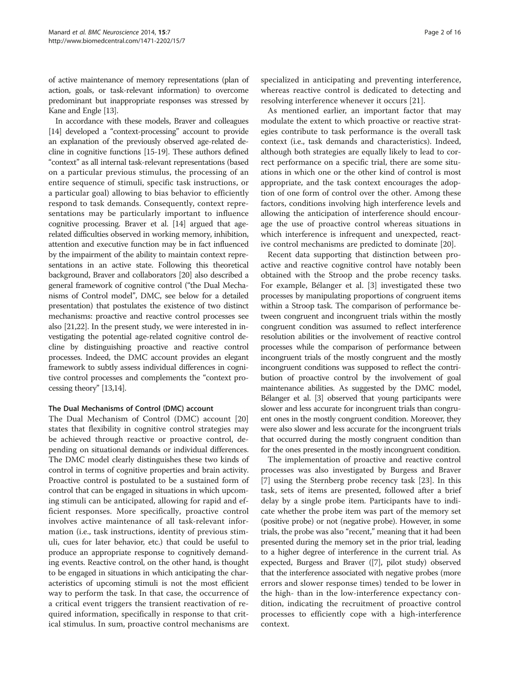of active maintenance of memory representations (plan of action, goals, or task-relevant information) to overcome predominant but inappropriate responses was stressed by Kane and Engle [[13](#page-14-0)].

In accordance with these models, Braver and colleagues [[14](#page-14-0)] developed a "context-processing" account to provide an explanation of the previously observed age-related decline in cognitive functions [\[15-19](#page-14-0)]. These authors defined "context" as all internal task-relevant representations (based on a particular previous stimulus, the processing of an entire sequence of stimuli, specific task instructions, or a particular goal) allowing to bias behavior to efficiently respond to task demands. Consequently, context representations may be particularly important to influence cognitive processing. Braver et al. [\[14](#page-14-0)] argued that agerelated difficulties observed in working memory, inhibition, attention and executive function may be in fact influenced by the impairment of the ability to maintain context representations in an active state. Following this theoretical background, Braver and collaborators [[20](#page-14-0)] also described a general framework of cognitive control ("the Dual Mechanisms of Control model", DMC, see below for a detailed presentation) that postulates the existence of two distinct mechanisms: proactive and reactive control processes see also [\[21,22\]](#page-14-0). In the present study, we were interested in investigating the potential age-related cognitive control decline by distinguishing proactive and reactive control processes. Indeed, the DMC account provides an elegant framework to subtly assess individual differences in cognitive control processes and complements the "context processing theory" [[13,14\]](#page-14-0).

#### The Dual Mechanisms of Control (DMC) account

The Dual Mechanism of Control (DMC) account [[20](#page-14-0)] states that flexibility in cognitive control strategies may be achieved through reactive or proactive control, depending on situational demands or individual differences. The DMC model clearly distinguishes these two kinds of control in terms of cognitive properties and brain activity. Proactive control is postulated to be a sustained form of control that can be engaged in situations in which upcoming stimuli can be anticipated, allowing for rapid and efficient responses. More specifically, proactive control involves active maintenance of all task-relevant information (i.e., task instructions, identity of previous stimuli, cues for later behavior, etc.) that could be useful to produce an appropriate response to cognitively demanding events. Reactive control, on the other hand, is thought to be engaged in situations in which anticipating the characteristics of upcoming stimuli is not the most efficient way to perform the task. In that case, the occurrence of a critical event triggers the transient reactivation of required information, specifically in response to that critical stimulus. In sum, proactive control mechanisms are

specialized in anticipating and preventing interference, whereas reactive control is dedicated to detecting and resolving interference whenever it occurs [\[21\]](#page-14-0).

As mentioned earlier, an important factor that may modulate the extent to which proactive or reactive strategies contribute to task performance is the overall task context (i.e., task demands and characteristics). Indeed, although both strategies are equally likely to lead to correct performance on a specific trial, there are some situations in which one or the other kind of control is most appropriate, and the task context encourages the adoption of one form of control over the other. Among these factors, conditions involving high interference levels and allowing the anticipation of interference should encourage the use of proactive control whereas situations in which interference is infrequent and unexpected, reactive control mechanisms are predicted to dominate [\[20](#page-14-0)].

Recent data supporting that distinction between proactive and reactive cognitive control have notably been obtained with the Stroop and the probe recency tasks. For example, Bélanger et al. [[3](#page-14-0)] investigated these two processes by manipulating proportions of congruent items within a Stroop task. The comparison of performance between congruent and incongruent trials within the mostly congruent condition was assumed to reflect interference resolution abilities or the involvement of reactive control processes while the comparison of performance between incongruent trials of the mostly congruent and the mostly incongruent conditions was supposed to reflect the contribution of proactive control by the involvement of goal maintenance abilities. As suggested by the DMC model, Bélanger et al. [\[3](#page-14-0)] observed that young participants were slower and less accurate for incongruent trials than congruent ones in the mostly congruent condition. Moreover, they were also slower and less accurate for the incongruent trials that occurred during the mostly congruent condition than for the ones presented in the mostly incongruent condition.

The implementation of proactive and reactive control processes was also investigated by Burgess and Braver [[7\]](#page-14-0) using the Sternberg probe recency task [\[23\]](#page-14-0). In this task, sets of items are presented, followed after a brief delay by a single probe item. Participants have to indicate whether the probe item was part of the memory set (positive probe) or not (negative probe). However, in some trials, the probe was also "recent," meaning that it had been presented during the memory set in the prior trial, leading to a higher degree of interference in the current trial. As expected, Burgess and Braver ([\[7\]](#page-14-0), pilot study) observed that the interference associated with negative probes (more errors and slower response times) tended to be lower in the high- than in the low-interference expectancy condition, indicating the recruitment of proactive control processes to efficiently cope with a high-interference context.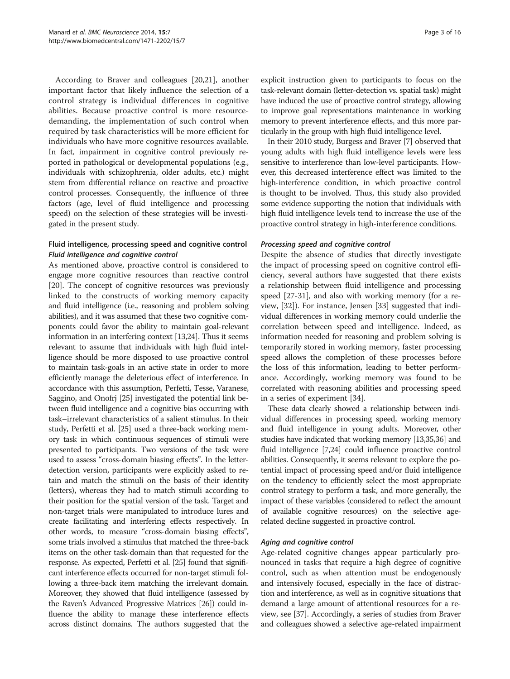According to Braver and colleagues [[20,21\]](#page-14-0), another important factor that likely influence the selection of a control strategy is individual differences in cognitive abilities. Because proactive control is more resourcedemanding, the implementation of such control when required by task characteristics will be more efficient for individuals who have more cognitive resources available. In fact, impairment in cognitive control previously reported in pathological or developmental populations (e.g., individuals with schizophrenia, older adults, etc.) might stem from differential reliance on reactive and proactive control processes. Consequently, the influence of three factors (age, level of fluid intelligence and processing speed) on the selection of these strategies will be investigated in the present study.

#### Fluid intelligence, processing speed and cognitive control Fluid intelligence and cognitive control

As mentioned above, proactive control is considered to engage more cognitive resources than reactive control [[20\]](#page-14-0). The concept of cognitive resources was previously linked to the constructs of working memory capacity and fluid intelligence (i.e., reasoning and problem solving abilities), and it was assumed that these two cognitive components could favor the ability to maintain goal-relevant information in an interfering context [\[13,24](#page-14-0)]. Thus it seems relevant to assume that individuals with high fluid intelligence should be more disposed to use proactive control to maintain task-goals in an active state in order to more efficiently manage the deleterious effect of interference. In accordance with this assumption, Perfetti, Tesse, Varanese, Saggino, and Onofrj [\[25\]](#page-14-0) investigated the potential link between fluid intelligence and a cognitive bias occurring with task–irrelevant characteristics of a salient stimulus. In their study, Perfetti et al. [\[25](#page-14-0)] used a three-back working memory task in which continuous sequences of stimuli were presented to participants. Two versions of the task were used to assess "cross-domain biasing effects". In the letterdetection version, participants were explicitly asked to retain and match the stimuli on the basis of their identity (letters), whereas they had to match stimuli according to their position for the spatial version of the task. Target and non-target trials were manipulated to introduce lures and create facilitating and interfering effects respectively. In other words, to measure "cross-domain biasing effects", some trials involved a stimulus that matched the three-back items on the other task-domain than that requested for the response. As expected, Perfetti et al. [\[25\]](#page-14-0) found that significant interference effects occurred for non-target stimuli following a three-back item matching the irrelevant domain. Moreover, they showed that fluid intelligence (assessed by the Raven's Advanced Progressive Matrices [\[26\]](#page-14-0)) could influence the ability to manage these interference effects across distinct domains. The authors suggested that the

explicit instruction given to participants to focus on the task-relevant domain (letter-detection vs. spatial task) might have induced the use of proactive control strategy, allowing to improve goal representations maintenance in working memory to prevent interference effects, and this more particularly in the group with high fluid intelligence level.

In their 2010 study, Burgess and Braver [\[7](#page-14-0)] observed that young adults with high fluid intelligence levels were less sensitive to interference than low-level participants. However, this decreased interference effect was limited to the high-interference condition, in which proactive control is thought to be involved. Thus, this study also provided some evidence supporting the notion that individuals with high fluid intelligence levels tend to increase the use of the proactive control strategy in high-interference conditions.

#### Processing speed and cognitive control

Despite the absence of studies that directly investigate the impact of processing speed on cognitive control efficiency, several authors have suggested that there exists a relationship between fluid intelligence and processing speed [\[27](#page-14-0)-[31\]](#page-14-0), and also with working memory (for a review, [\[32](#page-14-0)]). For instance, Jensen [\[33](#page-14-0)] suggested that individual differences in working memory could underlie the correlation between speed and intelligence. Indeed, as information needed for reasoning and problem solving is temporarily stored in working memory, faster processing speed allows the completion of these processes before the loss of this information, leading to better performance. Accordingly, working memory was found to be correlated with reasoning abilities and processing speed in a series of experiment [[34\]](#page-14-0).

These data clearly showed a relationship between individual differences in processing speed, working memory and fluid intelligence in young adults. Moreover, other studies have indicated that working memory [[13,35,36](#page-14-0)] and fluid intelligence [\[7,24](#page-14-0)] could influence proactive control abilities. Consequently, it seems relevant to explore the potential impact of processing speed and/or fluid intelligence on the tendency to efficiently select the most appropriate control strategy to perform a task, and more generally, the impact of these variables (considered to reflect the amount of available cognitive resources) on the selective agerelated decline suggested in proactive control.

#### Aging and cognitive control

Age-related cognitive changes appear particularly pronounced in tasks that require a high degree of cognitive control, such as when attention must be endogenously and intensively focused, especially in the face of distraction and interference, as well as in cognitive situations that demand a large amount of attentional resources for a review, see [[37\]](#page-14-0). Accordingly, a series of studies from Braver and colleagues showed a selective age-related impairment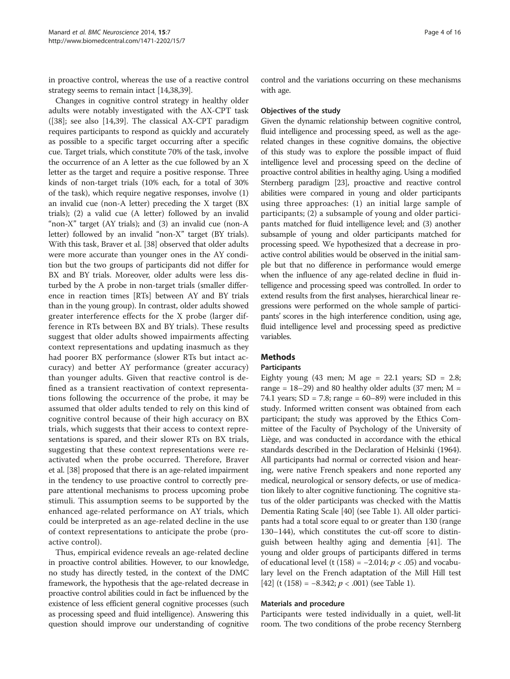in proactive control, whereas the use of a reactive control strategy seems to remain intact [[14](#page-14-0),[38,39\]](#page-14-0).

Changes in cognitive control strategy in healthy older adults were notably investigated with the AX-CPT task ([\[38\]](#page-14-0); see also [[14,39\]](#page-14-0). The classical AX-CPT paradigm requires participants to respond as quickly and accurately as possible to a specific target occurring after a specific cue. Target trials, which constitute 70% of the task, involve the occurrence of an A letter as the cue followed by an X letter as the target and require a positive response. Three kinds of non-target trials (10% each, for a total of 30% of the task), which require negative responses, involve (1) an invalid cue (non-A letter) preceding the X target (BX trials); (2) a valid cue (A letter) followed by an invalid "non-X" target (AY trials); and (3) an invalid cue (non-A letter) followed by an invalid "non-X" target (BY trials). With this task, Braver et al. [\[38\]](#page-14-0) observed that older adults were more accurate than younger ones in the AY condition but the two groups of participants did not differ for BX and BY trials. Moreover, older adults were less disturbed by the A probe in non-target trials (smaller difference in reaction times [RTs] between AY and BY trials than in the young group). In contrast, older adults showed greater interference effects for the X probe (larger difference in RTs between BX and BY trials). These results suggest that older adults showed impairments affecting context representations and updating inasmuch as they had poorer BX performance (slower RTs but intact accuracy) and better AY performance (greater accuracy) than younger adults. Given that reactive control is defined as a transient reactivation of context representations following the occurrence of the probe, it may be assumed that older adults tended to rely on this kind of cognitive control because of their high accuracy on BX trials, which suggests that their access to context representations is spared, and their slower RTs on BX trials, suggesting that these context representations were reactivated when the probe occurred. Therefore, Braver et al. [\[38\]](#page-14-0) proposed that there is an age-related impairment in the tendency to use proactive control to correctly prepare attentional mechanisms to process upcoming probe stimuli. This assumption seems to be supported by the enhanced age-related performance on AY trials, which could be interpreted as an age-related decline in the use of context representations to anticipate the probe (proactive control).

Thus, empirical evidence reveals an age-related decline in proactive control abilities. However, to our knowledge, no study has directly tested, in the context of the DMC framework, the hypothesis that the age-related decrease in proactive control abilities could in fact be influenced by the existence of less efficient general cognitive processes (such as processing speed and fluid intelligence). Answering this question should improve our understanding of cognitive control and the variations occurring on these mechanisms with age.

#### Objectives of the study

Given the dynamic relationship between cognitive control, fluid intelligence and processing speed, as well as the agerelated changes in these cognitive domains, the objective of this study was to explore the possible impact of fluid intelligence level and processing speed on the decline of proactive control abilities in healthy aging. Using a modified Sternberg paradigm [\[23\]](#page-14-0), proactive and reactive control abilities were compared in young and older participants using three approaches: (1) an initial large sample of participants; (2) a subsample of young and older participants matched for fluid intelligence level; and (3) another subsample of young and older participants matched for processing speed. We hypothesized that a decrease in proactive control abilities would be observed in the initial sample but that no difference in performance would emerge when the influence of any age-related decline in fluid intelligence and processing speed was controlled. In order to extend results from the first analyses, hierarchical linear regressions were performed on the whole sample of participants' scores in the high interference condition, using age, fluid intelligence level and processing speed as predictive variables.

#### Methods

#### Participants

Eighty young (43 men; M age =  $22.1$  years; SD =  $2.8$ ; range =  $18-29$ ) and 80 healthy older adults (37 men; M = 74.1 years;  $SD = 7.8$ ; range = 60–89) were included in this study. Informed written consent was obtained from each participant; the study was approved by the Ethics Committee of the Faculty of Psychology of the University of Liège, and was conducted in accordance with the ethical standards described in the Declaration of Helsinki (1964). All participants had normal or corrected vision and hearing, were native French speakers and none reported any medical, neurological or sensory defects, or use of medication likely to alter cognitive functioning. The cognitive status of the older participants was checked with the Mattis Dementia Rating Scale [\[40](#page-14-0)] (see Table [1\)](#page-4-0). All older participants had a total score equal to or greater than 130 (range 130–144), which constitutes the cut-off score to distinguish between healthy aging and dementia [[41](#page-14-0)]. The young and older groups of participants differed in terms of educational level (t (158) =  $-2.014$ ;  $p$  < .05) and vocabulary level on the French adaptation of the Mill Hill test [[42](#page-14-0)] (t (158) =  $-8.342$ ;  $p < .001$ ) (see Table [1\)](#page-4-0).

#### Materials and procedure

Participants were tested individually in a quiet, well-lit room. The two conditions of the probe recency Sternberg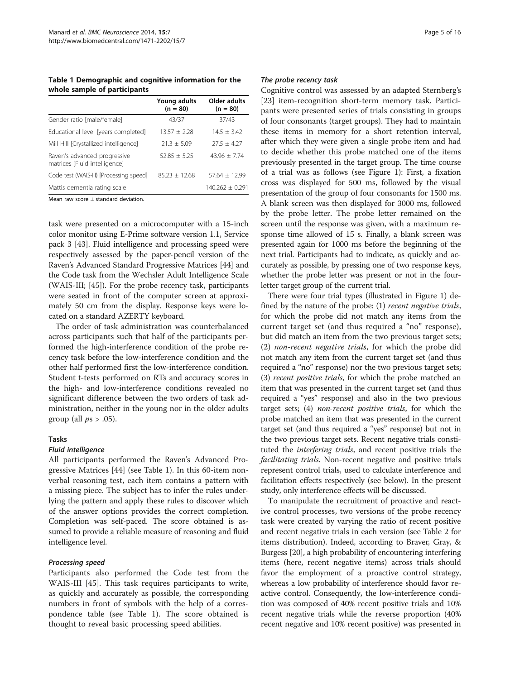<span id="page-4-0"></span>Table 1 Demographic and cognitive information for the whole sample of participants

|                                                               | Young adults<br>$(n = 80)$ | Older adults<br>$(n = 80)$ |
|---------------------------------------------------------------|----------------------------|----------------------------|
| Gender ratio [male/female]                                    | 43/37                      | 37/43                      |
| Educational level [years completed]                           | $13.57 + 2.28$             | $14.5 + 3.42$              |
| Mill Hill [Crystallized intelligence]                         | $21.3 + 5.09$              | $27.5 + 4.27$              |
| Raven's advanced progressive<br>matrices [Fluid intelligence] | $52.85 + 5.25$             | $43.96 + 7.74$             |
| Code test (WAIS-III) [Processing speed]                       | $85.23 + 12.68$            | $57.64 + 12.99$            |
| Mattis dementia rating scale                                  |                            | $140.262 + 0.291$          |

Mean raw score ± standard deviation.

task were presented on a microcomputer with a 15-inch color monitor using E-Prime software version 1.1, Service pack 3 [\[43\]](#page-14-0). Fluid intelligence and processing speed were respectively assessed by the paper-pencil version of the Raven's Advanced Standard Progressive Matrices [[44\]](#page-14-0) and the Code task from the Wechsler Adult Intelligence Scale (WAIS-III; [[45](#page-14-0)]). For the probe recency task, participants were seated in front of the computer screen at approximately 50 cm from the display. Response keys were located on a standard AZERTY keyboard.

The order of task administration was counterbalanced across participants such that half of the participants performed the high-interference condition of the probe recency task before the low-interference condition and the other half performed first the low-interference condition. Student t-tests performed on RTs and accuracy scores in the high- and low-interference conditions revealed no significant difference between the two orders of task administration, neither in the young nor in the older adults group (all  $ps > .05$ ).

#### Tasks

#### Fluid intelligence

All participants performed the Raven's Advanced Progressive Matrices [\[44](#page-14-0)] (see Table 1). In this 60-item nonverbal reasoning test, each item contains a pattern with a missing piece. The subject has to infer the rules underlying the pattern and apply these rules to discover which of the answer options provides the correct completion. Completion was self-paced. The score obtained is assumed to provide a reliable measure of reasoning and fluid intelligence level.

#### Processing speed

Participants also performed the Code test from the WAIS-III [[45\]](#page-14-0). This task requires participants to write, as quickly and accurately as possible, the corresponding numbers in front of symbols with the help of a correspondence table (see Table 1). The score obtained is thought to reveal basic processing speed abilities.

#### The probe recency task

Cognitive control was assessed by an adapted Sternberg's [[23\]](#page-14-0) item-recognition short-term memory task. Participants were presented series of trials consisting in groups of four consonants (target groups). They had to maintain these items in memory for a short retention interval, after which they were given a single probe item and had to decide whether this probe matched one of the items previously presented in the target group. The time course of a trial was as follows (see Figure [1](#page-5-0)): First, a fixation cross was displayed for 500 ms, followed by the visual presentation of the group of four consonants for 1500 ms. A blank screen was then displayed for 3000 ms, followed by the probe letter. The probe letter remained on the screen until the response was given, with a maximum response time allowed of 15 s. Finally, a blank screen was presented again for 1000 ms before the beginning of the next trial. Participants had to indicate, as quickly and accurately as possible, by pressing one of two response keys, whether the probe letter was present or not in the fourletter target group of the current trial.

There were four trial types (illustrated in Figure [1\)](#page-5-0) defined by the nature of the probe: (1) recent negative trials, for which the probe did not match any items from the current target set (and thus required a "no" response), but did match an item from the two previous target sets; (2) non-recent negative trials, for which the probe did not match any item from the current target set (and thus required a "no" response) nor the two previous target sets; (3) recent positive trials, for which the probe matched an item that was presented in the current target set (and thus required a "yes" response) and also in the two previous target sets; (4) non-recent positive trials, for which the probe matched an item that was presented in the current target set (and thus required a "yes" response) but not in the two previous target sets. Recent negative trials constituted the interfering trials, and recent positive trials the facilitating trials. Non-recent negative and positive trials represent control trials, used to calculate interference and facilitation effects respectively (see below). In the present study, only interference effects will be discussed.

To manipulate the recruitment of proactive and reactive control processes, two versions of the probe recency task were created by varying the ratio of recent positive and recent negative trials in each version (see Table [2](#page-5-0) for items distribution). Indeed, according to Braver, Gray, & Burgess [\[20\]](#page-14-0), a high probability of encountering interfering items (here, recent negative items) across trials should favor the employment of a proactive control strategy, whereas a low probability of interference should favor reactive control. Consequently, the low-interference condition was composed of 40% recent positive trials and 10% recent negative trials while the reverse proportion (40% recent negative and 10% recent positive) was presented in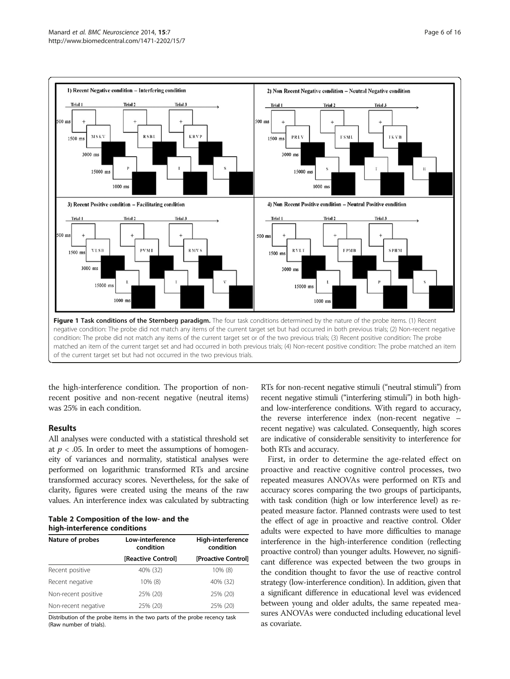<span id="page-5-0"></span>

the high-interference condition. The proportion of nonrecent positive and non-recent negative (neutral items) was 25% in each condition.

#### Results

All analyses were conducted with a statistical threshold set at  $p < .05$ . In order to meet the assumptions of homogeneity of variances and normality, statistical analyses were performed on logarithmic transformed RTs and arcsine transformed accuracy scores. Nevertheless, for the sake of clarity, figures were created using the means of the raw values. An interference index was calculated by subtracting

Table 2 Composition of the low- and the high-interference conditions

| Nature of probes    | Low-interference<br>condition | High-interference<br>condition |  |  |
|---------------------|-------------------------------|--------------------------------|--|--|
|                     | [Reactive Control]            | [Proactive Control]            |  |  |
| Recent positive     | 40% (32)                      | 10% (8)                        |  |  |
| Recent negative     | 10% (8)                       | 40% (32)                       |  |  |
| Non-recent positive | 25% (20)                      | 25% (20)                       |  |  |
| Non-recent negative | 25% (20)                      | 25% (20)                       |  |  |

Distribution of the probe items in the two parts of the probe recency task (Raw number of trials).

RTs for non-recent negative stimuli ("neutral stimuli") from recent negative stimuli ("interfering stimuli") in both highand low-interference conditions. With regard to accuracy, the reverse interference index (non-recent negative – recent negative) was calculated. Consequently, high scores are indicative of considerable sensitivity to interference for both RTs and accuracy.

First, in order to determine the age-related effect on proactive and reactive cognitive control processes, two repeated measures ANOVAs were performed on RTs and accuracy scores comparing the two groups of participants, with task condition (high or low interference level) as repeated measure factor. Planned contrasts were used to test the effect of age in proactive and reactive control. Older adults were expected to have more difficulties to manage interference in the high-interference condition (reflecting proactive control) than younger adults. However, no significant difference was expected between the two groups in the condition thought to favor the use of reactive control strategy (low-interference condition). In addition, given that a significant difference in educational level was evidenced between young and older adults, the same repeated measures ANOVAs were conducted including educational level as covariate.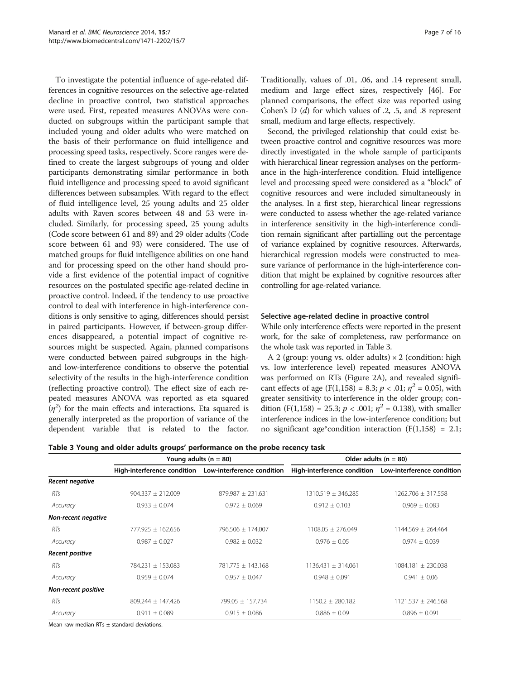To investigate the potential influence of age-related differences in cognitive resources on the selective age-related decline in proactive control, two statistical approaches were used. First, repeated measures ANOVAs were conducted on subgroups within the participant sample that included young and older adults who were matched on the basis of their performance on fluid intelligence and processing speed tasks, respectively. Score ranges were defined to create the largest subgroups of young and older participants demonstrating similar performance in both fluid intelligence and processing speed to avoid significant differences between subsamples. With regard to the effect of fluid intelligence level, 25 young adults and 25 older adults with Raven scores between 48 and 53 were included. Similarly, for processing speed, 25 young adults (Code score between 61 and 89) and 29 older adults (Code score between 61 and 93) were considered. The use of matched groups for fluid intelligence abilities on one hand and for processing speed on the other hand should provide a first evidence of the potential impact of cognitive resources on the postulated specific age-related decline in proactive control. Indeed, if the tendency to use proactive control to deal with interference in high-interference conditions is only sensitive to aging, differences should persist in paired participants. However, if between-group differences disappeared, a potential impact of cognitive resources might be suspected. Again, planned comparisons were conducted between paired subgroups in the highand low-interference conditions to observe the potential selectivity of the results in the high-interference condition (reflecting proactive control). The effect size of each repeated measures ANOVA was reported as eta squared  $(\eta^2)$  for the main effects and interactions. Eta squared is generally interpreted as the proportion of variance of the dependent variable that is related to the factor.

Traditionally, values of .01, .06, and .14 represent small, medium and large effect sizes, respectively [\[46](#page-14-0)]. For planned comparisons, the effect size was reported using Cohen's  $D(d)$  for which values of .2, .5, and .8 represent small, medium and large effects, respectively.

Second, the privileged relationship that could exist between proactive control and cognitive resources was more directly investigated in the whole sample of participants with hierarchical linear regression analyses on the performance in the high-interference condition. Fluid intelligence level and processing speed were considered as a "block" of cognitive resources and were included simultaneously in the analyses. In a first step, hierarchical linear regressions were conducted to assess whether the age-related variance in interference sensitivity in the high-interference condition remain significant after partialling out the percentage of variance explained by cognitive resources. Afterwards, hierarchical regression models were constructed to measure variance of performance in the high-interference condition that might be explained by cognitive resources after controlling for age-related variance.

#### Selective age-related decline in proactive control

While only interference effects were reported in the present work, for the sake of completeness, raw performance on the whole task was reported in Table 3.

A 2 (group: young vs. older adults)  $\times$  2 (condition: high vs. low interference level) repeated measures ANOVA was performed on RTs (Figure [2A](#page-7-0)), and revealed significant effects of age (F(1,158) = 8.3;  $p < .01$ ;  $\eta^2 = 0.05$ ), with greater sensitivity to interference in the older group; condition (F(1,158) = 25.3;  $p < .001$ ;  $\eta^2 = 0.138$ ), with smaller interference indices in the low-interference condition; but no significant age\*condition interaction  $(F(1,158) = 2.1;$ 

Table 3 Young and older adults groups' performance on the probe recency task

|                     |                       | Young adults ( $n = 80$ )                              | Older adults $(n = 80)$                                |                      |  |  |
|---------------------|-----------------------|--------------------------------------------------------|--------------------------------------------------------|----------------------|--|--|
|                     |                       | High-interference condition Low-interference condition | High-interference condition Low-interference condition |                      |  |  |
| Recent negative     |                       |                                                        |                                                        |                      |  |  |
| RTs                 | $904.337 \pm 212.009$ | $879.987 \pm 231.631$                                  | $1310.519 \pm 346.285$                                 | 1262.706 ± 317.558   |  |  |
| Accuracy            | $0.933 \pm 0.074$     | $0.972 \pm 0.069$                                      | $0.912 \pm 0.103$                                      | $0.969 \pm 0.083$    |  |  |
| Non-recent negative |                       |                                                        |                                                        |                      |  |  |
| RTs                 | 777.925 + 162.656     | 796.506 ± 174.007                                      | $1108.05 + 276.049$                                    | $1144.569 + 264.464$ |  |  |
| Accuracy            | $0.987 \pm 0.027$     | $0.982 \pm 0.032$                                      | $0.976 \pm 0.05$                                       | $0.974 \pm 0.039$    |  |  |
| Recent positive     |                       |                                                        |                                                        |                      |  |  |
| RTs                 | 784.231 + 153.083     | $781.775 + 143.168$                                    | $1136.431 + 314.061$                                   | 1084.181 + 230.038   |  |  |
| Accuracy            | $0.959 \pm 0.074$     | $0.957 \pm 0.047$                                      | $0.948 \pm 0.091$                                      | $0.941 \pm 0.06$     |  |  |
| Non-recent positive |                       |                                                        |                                                        |                      |  |  |
| RTs                 | $809.244 + 147.426$   | 799.05 ± 157.734                                       | $1150.2 + 280.182$                                     | $1121.537 + 246.568$ |  |  |
| Accuracy            | $0.911 \pm 0.089$     | $0.915 \pm 0.086$                                      | $0.886 \pm 0.09$                                       | $0.896 \pm 0.091$    |  |  |

Mean raw median RTs  $\pm$  standard deviations.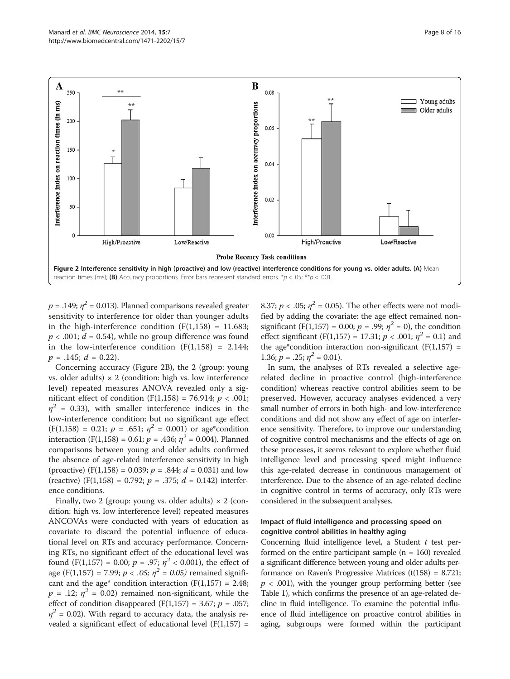<span id="page-7-0"></span>

 $p = .149; \eta^2 = 0.013$ . Planned comparisons revealed greater sensitivity to interference for older than younger adults in the high-interference condition  $(F(1,158) = 11.683;$  $p < .001$ ;  $d = 0.54$ ), while no group difference was found in the low-interference condition  $(F(1,158) = 2.144;$  $p = .145$ ;  $d = 0.22$ ).

Concerning accuracy (Figure 2B), the 2 (group: young vs. older adults)  $\times$  2 (condition: high vs. low interference level) repeated measures ANOVA revealed only a significant effect of condition  $(F(1,158) = 76.914; p < .001;$  $\eta^2$  = 0.33), with smaller interference indices in the low-interference condition; but no significant age effect  $(F(1,158) = 0.21; p = .651; \eta^2 = 0.001)$  or age\*condition interaction (F(1,158) = 0.61;  $p = .436$ ;  $\eta^2 = 0.004$ ). Planned comparisons between young and older adults confirmed the absence of age-related interference sensitivity in high (proactive)  $(F(1,158) = 0.039; p = .844; d = 0.031)$  and low (reactive) (F(1,158) = 0.792;  $p = .375$ ;  $d = 0.142$ ) interference conditions.

Finally, two 2 (group: young vs. older adults)  $\times$  2 (condition: high vs. low interference level) repeated measures ANCOVAs were conducted with years of education as covariate to discard the potential influence of educational level on RTs and accuracy performance. Concerning RTs, no significant effect of the educational level was found (F(1,157) = 0.00;  $p = .97$ ;  $\eta^2 < 0.001$ ), the effect of age (F(1,157) = 7.99;  $p < .05$ ;  $\eta^2 = 0.05$ ) remained significant and the age\* condition interaction  $(F(1,157) = 2.48;$  $p = .12$ ;  $\eta^2 = 0.02$ ) remained non-significant, while the effect of condition disappeared  $(F(1,157) = 3.67; p = .057;$  $\eta^2$  = 0.02). With regard to accuracy data, the analysis revealed a significant effect of educational level  $(F(1,157))$  =

8.37;  $p < .05$ ;  $\eta^2 = 0.05$ ). The other effects were not modified by adding the covariate: the age effect remained nonsignificant (F(1,157) = 0.00;  $p = .99$ ;  $\eta^2 = 0$ ), the condition effect significant (F(1,157) = 17.31;  $p < .001$ ;  $\eta^2 = 0.1$ ) and the age\*condition interaction non-significant ( $F(1,157) =$ 1.36;  $p = .25$ ;  $\eta^2 = 0.01$ ).

In sum, the analyses of RTs revealed a selective agerelated decline in proactive control (high-interference condition) whereas reactive control abilities seem to be preserved. However, accuracy analyses evidenced a very small number of errors in both high- and low-interference conditions and did not show any effect of age on interference sensitivity. Therefore, to improve our understanding of cognitive control mechanisms and the effects of age on these processes, it seems relevant to explore whether fluid intelligence level and processing speed might influence this age-related decrease in continuous management of interference. Due to the absence of an age-related decline in cognitive control in terms of accuracy, only RTs were considered in the subsequent analyses.

#### Impact of fluid intelligence and processing speed on cognitive control abilities in healthy aging

Concerning fluid intelligence level, a Student  $t$  test performed on the entire participant sample  $(n = 160)$  revealed a significant difference between young and older adults performance on Raven's Progressive Matrices  $(t(158) = 8.721;$  $p < .001$ ), with the younger group performing better (see Table [1](#page-4-0)), which confirms the presence of an age-related decline in fluid intelligence. To examine the potential influence of fluid intelligence on proactive control abilities in aging, subgroups were formed within the participant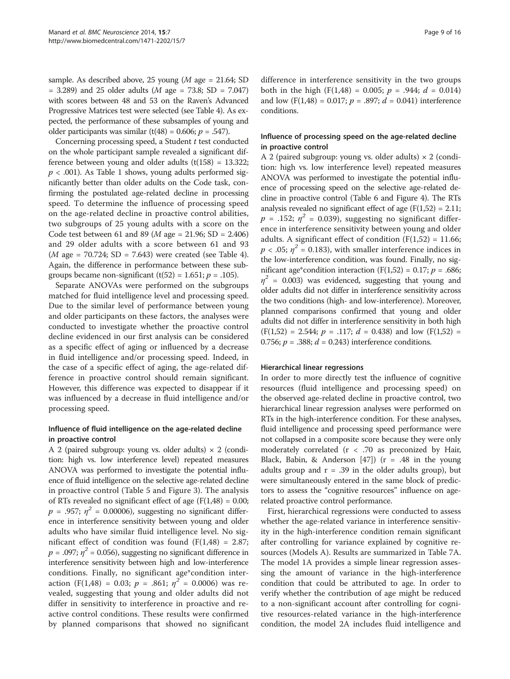sample. As described above, 25 young ( $M$  age = 21.64; SD  $= 3.289$ ) and 25 older adults (*M* age  $= 73.8$ ; SD  $= 7.047$ ) with scores between 48 and 53 on the Raven's Advanced Progressive Matrices test were selected (see Table [4](#page-9-0)). As expected, the performance of these subsamples of young and older participants was similar (t(48) = 0.606;  $p = .547$ ).

Concerning processing speed, a Student t test conducted on the whole participant sample revealed a significant difference between young and older adults  $(t(158) = 13.322)$ ;  $p < .001$ ). As Table [1](#page-4-0) shows, young adults performed significantly better than older adults on the Code task, confirming the postulated age-related decline in processing speed. To determine the influence of processing speed on the age-related decline in proactive control abilities, two subgroups of 25 young adults with a score on the Code test between 61 and 89 (*M* age = 21.96; SD = 2.406) and 29 older adults with a score between 61 and 93  $(M \, \text{age} = 70.724; \, SD = 7.643)$  were created (see Table [4](#page-9-0)). Again, the difference in performance between these subgroups became non-significant (t(52) = 1.651;  $p = .105$ ).

Separate ANOVAs were performed on the subgroups matched for fluid intelligence level and processing speed. Due to the similar level of performance between young and older participants on these factors, the analyses were conducted to investigate whether the proactive control decline evidenced in our first analysis can be considered as a specific effect of aging or influenced by a decrease in fluid intelligence and/or processing speed. Indeed, in the case of a specific effect of aging, the age-related difference in proactive control should remain significant. However, this difference was expected to disappear if it was influenced by a decrease in fluid intelligence and/or processing speed.

#### Influence of fluid intelligence on the age-related decline in proactive control

A 2 (paired subgroup: young vs. older adults)  $\times$  2 (condition: high vs. low interference level) repeated measures ANOVA was performed to investigate the potential influence of fluid intelligence on the selective age-related decline in proactive control (Table [5](#page-10-0) and Figure [3\)](#page-10-0). The analysis of RTs revealed no significant effect of age  $(F(1,48) = 0.00;$  $p = .957$ ;  $\eta^2 = 0.00006$ ), suggesting no significant difference in interference sensitivity between young and older adults who have similar fluid intelligence level. No significant effect of condition was found  $(F(1,48) = 2.87;$  $p = .097; \eta^2 = 0.056$ , suggesting no significant difference in interference sensitivity between high and low-interference conditions. Finally, no significant age\*condition interaction (F(1,48) = 0.03;  $p = .861$ ;  $\eta^2 = 0.0006$ ) was revealed, suggesting that young and older adults did not differ in sensitivity to interference in proactive and reactive control conditions. These results were confirmed by planned comparisons that showed no significant

difference in interference sensitivity in the two groups both in the high  $(F(1,48) = 0.005; p = .944; d = 0.014)$ and low (F(1,48) = 0.017;  $p = .897$ ;  $d = 0.041$ ) interference conditions.

#### Influence of processing speed on the age-related decline in proactive control

A 2 (paired subgroup: young vs. older adults)  $\times$  2 (condition: high vs. low interference level) repeated measures ANOVA was performed to investigate the potential influence of processing speed on the selective age-related decline in proactive control (Table [6](#page-11-0) and Figure [4](#page-11-0)). The RTs analysis revealed no significant effect of age  $(F(1,52) = 2.11;$  $p = .152$ ;  $\eta^2 = 0.039$ ), suggesting no significant difference in interference sensitivity between young and older adults. A significant effect of condition  $(F(1,52) = 11.66;$  $p < .05$ ;  $\eta^2 = 0.183$ ), with smaller interference indices in the low-interference condition, was found. Finally, no significant age\*condition interaction (F(1,52) = 0.17;  $p = .686$ ;  $\eta^2$  = 0.003) was evidenced, suggesting that young and older adults did not differ in interference sensitivity across the two conditions (high- and low-interference). Moreover, planned comparisons confirmed that young and older adults did not differ in interference sensitivity in both high  $(F(1,52) = 2.544; p = .117; d = 0.438)$  and low  $(F(1,52) =$ 0.756;  $p = 0.388$ ;  $d = 0.243$ ) interference conditions.

#### Hierarchical linear regressions

In order to more directly test the influence of cognitive resources (fluid intelligence and processing speed) on the observed age-related decline in proactive control, two hierarchical linear regression analyses were performed on RTs in the high-interference condition. For these analyses, fluid intelligence and processing speed performance were not collapsed in a composite score because they were only moderately correlated  $(r < .70$  as preconized by Hair, Black, Babin, & Anderson  $[47]$  $[47]$ ) (r = .48 in the young adults group and  $r = .39$  in the older adults group), but were simultaneously entered in the same block of predictors to assess the "cognitive resources" influence on agerelated proactive control performance.

First, hierarchical regressions were conducted to assess whether the age-related variance in interference sensitivity in the high-interference condition remain significant after controlling for variance explained by cognitive resources (Models A). Results are summarized in Table [7A](#page-12-0). The model 1A provides a simple linear regression assessing the amount of variance in the high-interference condition that could be attributed to age. In order to verify whether the contribution of age might be reduced to a non-significant account after controlling for cognitive resources-related variance in the high-interference condition, the model 2A includes fluid intelligence and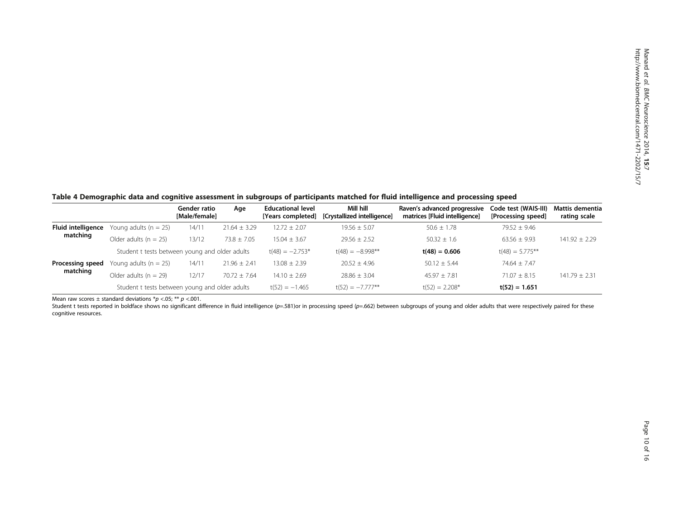<span id="page-9-0"></span>Table 4 Demographic data and cognitive assessment in subgroups of participants matched for fluid intelligence and processing speed

|                           |                                                | Gender ratio<br>[Male/female] | Age              | <b>Educational level</b><br>[Years completed] | Mill hill<br>[Crystallized intelligence] | Raven's advanced progressive<br>matrices [Fluid intelligence] | Code test (WAIS-III)<br>[Processing speed] | Mattis dementia<br>rating scale |
|---------------------------|------------------------------------------------|-------------------------------|------------------|-----------------------------------------------|------------------------------------------|---------------------------------------------------------------|--------------------------------------------|---------------------------------|
| <b>Fluid intelligence</b> | Young adults $(n = 25)$                        | 14/11                         | $21.64 \pm 3.29$ | $12.72 \pm 2.07$                              | $19.56 \pm 5.07$                         | $50.6 \pm 1.78$                                               | $79.52 + 9.46$                             |                                 |
| matching                  | Older adults $(n = 25)$                        | 13/12                         | $73.8 \pm 7.05$  | $15.04 + 3.67$                                | $29.56 + 2.52$                           | $50.32 + 1.6$                                                 | $63.56 \pm 9.93$                           | $141.92 \pm 2.29$               |
|                           | Student t tests between young and older adults |                               |                  | $t(48) = -2.753*$                             | $t(48) = -8.998**$                       | $t(48) = 0.606$                                               | $t(48) = 5.775**$                          |                                 |
| Processing speed          | Young adults $(n = 25)$                        | 14/11                         | $21.96 \pm 2.41$ | $13.08 \pm 2.39$                              | $20.52 + 4.96$                           | $50.12 + 5.44$                                                | $74.64 + 7.47$                             |                                 |
| matching                  | Older adults $(n = 29)$                        | 12/17                         | $70.72 \pm 7.64$ | $14.10 \pm 2.69$                              | $28.86 + 3.04$                           | $45.97 + 7.81$                                                | $71.07 + 8.15$                             | $141.79 \pm 2.31$               |
|                           | Student t tests between young and older adults |                               |                  | $t(52) = -1.465$                              | $t(52) = -7.777**$                       | $t(52) = 2.208*$                                              | $t(52) = 1.651$                            |                                 |

Mean raw scores  $\pm$  standard deviations \*p <.05; \*\* p <.001.

Student t tests reported in boldface shows no significant difference in fluid intelligence ( $p=.581$ )or in processing speed ( $p=.662$ ) between subgroups of young and older adults that were respectively paired for these cognitive resources.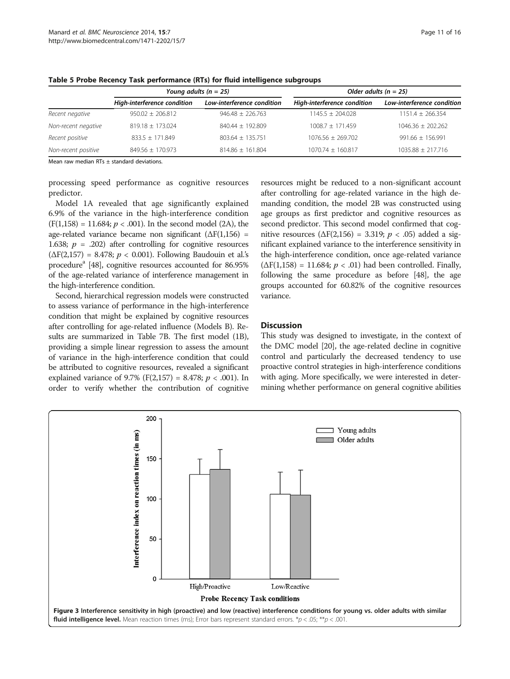|                     |                             | Young adults ( $n = 25$ )  | Older adults ( $n = 25$ )   |                            |  |  |
|---------------------|-----------------------------|----------------------------|-----------------------------|----------------------------|--|--|
|                     | High-interference condition | Low-interference condition | High-interference condition | Low-interference condition |  |  |
| Recent negative     | $950.02 + 206.812$          | $946.48 \pm 226.763$       | $1145.5 \pm 204.028$        | $1151.4 \pm 266.354$       |  |  |
| Non-recent negative | $819.18 + 173.024$          | 840.44 ± 192.809           | $1008.7 + 171.459$          | $1046.36 \pm 202.262$      |  |  |
| Recent positive     | $833.5 + 171.849$           | $803.64 + 135.751$         | $1076.56 + 269.702$         | $991.66 + 156.991$         |  |  |
| Non-recent positive | $849.56 \pm 170.973$        | $814.86 \pm 161.804$       | $1070.74 \pm 160.817$       | $1035.88 \pm 217.716$      |  |  |

<span id="page-10-0"></span>Table 5 Probe Recency Task performance (RTs) for fluid intelligence subgroups

Mean raw median RTs ± standard deviations.

processing speed performance as cognitive resources predictor.

Model 1A revealed that age significantly explained 6.9% of the variance in the high-interference condition  $(F(1,158) = 11.684; p < .001)$ . In the second model (2A), the age-related variance became non significant  $(\Delta F(1,156) =$ 1.638;  $p = .202$ ) after controlling for cognitive resources ( $\Delta F(2,157) = 8.478$ ;  $p < 0.001$ ). Following Baudouin et al.'s procedurea [\[48\]](#page-14-0), cognitive resources accounted for 86.95% of the age-related variance of interference management in the high-interference condition.

Second, hierarchical regression models were constructed to assess variance of performance in the high-interference condition that might be explained by cognitive resources after controlling for age-related influence (Models B). Results are summarized in Table [7B](#page-12-0). The first model (1B), providing a simple linear regression to assess the amount of variance in the high-interference condition that could be attributed to cognitive resources, revealed a significant explained variance of 9.7% (F(2,157) = 8.478;  $p < .001$ ). In order to verify whether the contribution of cognitive

resources might be reduced to a non-significant account after controlling for age-related variance in the high demanding condition, the model 2B was constructed using age groups as first predictor and cognitive resources as second predictor. This second model confirmed that cognitive resources ( $\Delta F(2,156) = 3.319$ ;  $p < .05$ ) added a significant explained variance to the interference sensitivity in the high-interference condition, once age-related variance  $(\Delta F(1,158) = 11.684; p < .01)$  had been controlled. Finally, following the same procedure as before [\[48\]](#page-14-0), the age groups accounted for 60.82% of the cognitive resources variance.

#### **Discussion**

This study was designed to investigate, in the context of the DMC model [\[20\]](#page-14-0), the age-related decline in cognitive control and particularly the decreased tendency to use proactive control strategies in high-interference conditions with aging. More specifically, we were interested in determining whether performance on general cognitive abilities

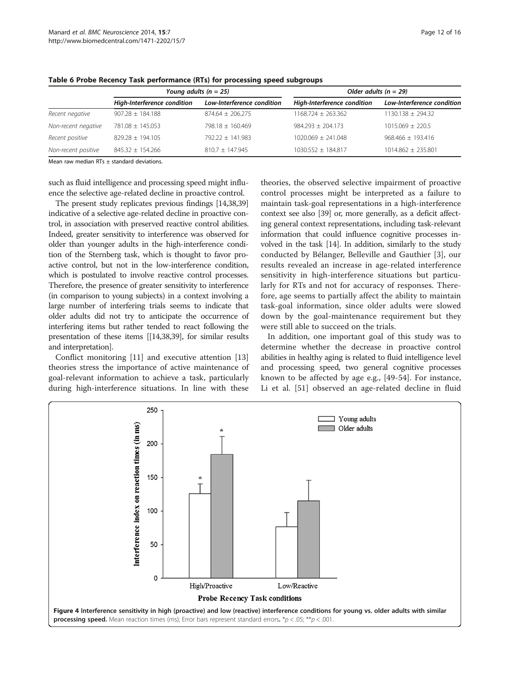|                             |                            | Older adults ( $n = 29$ )   |                            |  |  |
|-----------------------------|----------------------------|-----------------------------|----------------------------|--|--|
| High-Interference condition | Low-Interference condition | High-Interference condition | Low-Interference condition |  |  |
| $907.28 \pm 184.188$        | $874.64 + 206.275$         | $1168.724 \pm 263.362$      | $1130.138 \pm 294.32$      |  |  |
| 781.08 ± 145.053            | 798.18 + 160.469           | $984.293 + 204.173$         | $1015.069 + 220.5$         |  |  |
| $829.28 + 194.105$          | $792.22 + 141.983$         | $1020.069 + 241.048$        | $968.466 \pm 193.416$      |  |  |
| $845.32 \pm 154.266$        | $810.7 \pm 147.945$        | $1030.552 \pm 184.817$      | $1014.862 \pm 235.801$     |  |  |
|                             |                            | Young adults ( $n = 25$ )   |                            |  |  |

<span id="page-11-0"></span>Table 6 Probe Recency Task performance (RTs) for processing speed subgroups

Mean raw median RTs ± standard deviations.

such as fluid intelligence and processing speed might influence the selective age-related decline in proactive control.

The present study replicates previous findings [\[14,38,39](#page-14-0)] indicative of a selective age-related decline in proactive control, in association with preserved reactive control abilities. Indeed, greater sensitivity to interference was observed for older than younger adults in the high-interference condition of the Sternberg task, which is thought to favor proactive control, but not in the low-interference condition, which is postulated to involve reactive control processes. Therefore, the presence of greater sensitivity to interference (in comparison to young subjects) in a context involving a large number of interfering trials seems to indicate that older adults did not try to anticipate the occurrence of interfering items but rather tended to react following the presentation of these items [[\[14,38,39](#page-14-0)], for similar results and interpretation].

Conflict monitoring [[11\]](#page-14-0) and executive attention [[13](#page-14-0)] theories stress the importance of active maintenance of goal-relevant information to achieve a task, particularly during high-interference situations. In line with these

theories, the observed selective impairment of proactive control processes might be interpreted as a failure to maintain task-goal representations in a high-interference context see also [\[39](#page-14-0)] or, more generally, as a deficit affecting general context representations, including task-relevant information that could influence cognitive processes involved in the task [[14](#page-14-0)]. In addition, similarly to the study conducted by Bélanger, Belleville and Gauthier [\[3](#page-14-0)], our results revealed an increase in age-related interference sensitivity in high-interference situations but particularly for RTs and not for accuracy of responses. Therefore, age seems to partially affect the ability to maintain task-goal information, since older adults were slowed down by the goal-maintenance requirement but they were still able to succeed on the trials.

In addition, one important goal of this study was to determine whether the decrease in proactive control abilities in healthy aging is related to fluid intelligence level and processing speed, two general cognitive processes known to be affected by age e.g., [[49-54](#page-15-0)]. For instance, Li et al. [\[51](#page-15-0)] observed an age-related decline in fluid

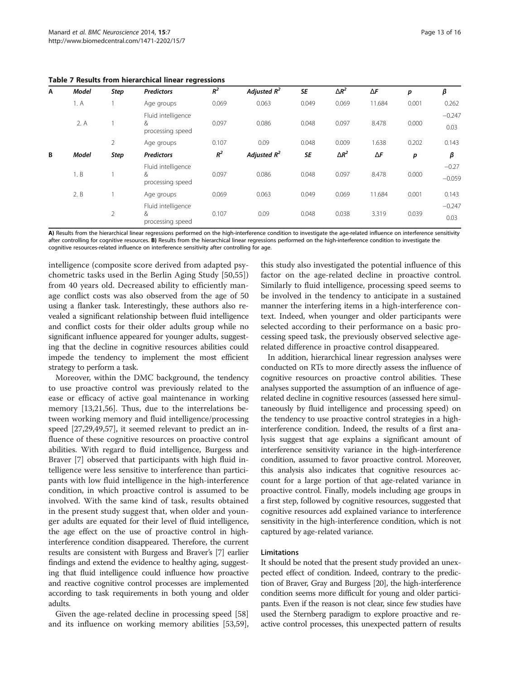<span id="page-12-0"></span>

|  |  |  |  | Table 7 Results from hierarchical linear regressions |  |  |
|--|--|--|--|------------------------------------------------------|--|--|
|--|--|--|--|------------------------------------------------------|--|--|

| A | <b>Model</b> | Step           | <b>Predictors</b>                           | $R^2$ | Adjusted $R^2$ | <b>SE</b> | $\Delta R^2$ | $\Delta F$ | p     | β                   |
|---|--------------|----------------|---------------------------------------------|-------|----------------|-----------|--------------|------------|-------|---------------------|
|   | 1. A         |                | Age groups                                  | 0.069 | 0.063          | 0.049     | 0.069        | 11.684     | 0.001 | 0.262               |
|   | 2. A         |                | Fluid intelligence<br>&<br>processing speed | 0.097 | 0.086          | 0.048     | 0.097        | 8.478      | 0.000 | $-0.247$<br>0.03    |
|   |              | $\overline{2}$ | Age groups                                  | 0.107 | 0.09           | 0.048     | 0.009        | 1.638      | 0.202 | 0.143               |
| B | <b>Model</b> | <b>Step</b>    | <b>Predictors</b>                           | $R^2$ | Adjusted $R^2$ | <b>SE</b> | $\Delta R^2$ | $\Delta F$ | p     | β                   |
|   | 1. B         |                | Fluid intelligence<br>&<br>processing speed | 0.097 | 0.086          | 0.048     | 0.097        | 8.478      | 0.000 | $-0.27$<br>$-0.059$ |
|   | 2. B         |                | Age groups                                  | 0.069 | 0.063          | 0.049     | 0.069        | 11.684     | 0.001 | 0.143               |
|   |              | 2              | Fluid intelligence<br>&<br>processing speed | 0.107 | 0.09           | 0.048     | 0.038        | 3.319      | 0.039 | $-0.247$<br>0.03    |

A) Results from the hierarchical linear regressions performed on the high-interference condition to investigate the age-related influence on interference sensitivity after controlling for cognitive resources. B) Results from the hierarchical linear regressions performed on the high-interference condition to investigate the cognitive resources-related influence on interference sensitivity after controlling for age.

intelligence (composite score derived from adapted psychometric tasks used in the Berlin Aging Study [[50,55](#page-15-0)]) from 40 years old. Decreased ability to efficiently manage conflict costs was also observed from the age of 50 using a flanker task. Interestingly, these authors also revealed a significant relationship between fluid intelligence and conflict costs for their older adults group while no significant influence appeared for younger adults, suggesting that the decline in cognitive resources abilities could impede the tendency to implement the most efficient strategy to perform a task.

Moreover, within the DMC background, the tendency to use proactive control was previously related to the ease or efficacy of active goal maintenance in working memory [\[13,21](#page-14-0)[,56\]](#page-15-0). Thus, due to the interrelations between working memory and fluid intelligence/processing speed [[27](#page-14-0),[29](#page-14-0)[,49,57](#page-15-0)], it seemed relevant to predict an influence of these cognitive resources on proactive control abilities. With regard to fluid intelligence, Burgess and Braver [[7\]](#page-14-0) observed that participants with high fluid intelligence were less sensitive to interference than participants with low fluid intelligence in the high-interference condition, in which proactive control is assumed to be involved. With the same kind of task, results obtained in the present study suggest that, when older and younger adults are equated for their level of fluid intelligence, the age effect on the use of proactive control in highinterference condition disappeared. Therefore, the current results are consistent with Burgess and Braver's [\[7](#page-14-0)] earlier findings and extend the evidence to healthy aging, suggesting that fluid intelligence could influence how proactive and reactive cognitive control processes are implemented according to task requirements in both young and older adults.

Given the age-related decline in processing speed [[58](#page-15-0)] and its influence on working memory abilities [\[53,59](#page-15-0)],

this study also investigated the potential influence of this factor on the age-related decline in proactive control. Similarly to fluid intelligence, processing speed seems to be involved in the tendency to anticipate in a sustained manner the interfering items in a high-interference context. Indeed, when younger and older participants were selected according to their performance on a basic processing speed task, the previously observed selective agerelated difference in proactive control disappeared.

In addition, hierarchical linear regression analyses were conducted on RTs to more directly assess the influence of cognitive resources on proactive control abilities. These analyses supported the assumption of an influence of agerelated decline in cognitive resources (assessed here simultaneously by fluid intelligence and processing speed) on the tendency to use proactive control strategies in a highinterference condition. Indeed, the results of a first analysis suggest that age explains a significant amount of interference sensitivity variance in the high-interference condition, assumed to favor proactive control. Moreover, this analysis also indicates that cognitive resources account for a large portion of that age-related variance in proactive control. Finally, models including age groups in a first step, followed by cognitive resources, suggested that cognitive resources add explained variance to interference sensitivity in the high-interference condition, which is not captured by age-related variance.

#### Limitations

It should be noted that the present study provided an unexpected effect of condition. Indeed, contrary to the prediction of Braver, Gray and Burgess [[20](#page-14-0)], the high-interference condition seems more difficult for young and older participants. Even if the reason is not clear, since few studies have used the Sternberg paradigm to explore proactive and reactive control processes, this unexpected pattern of results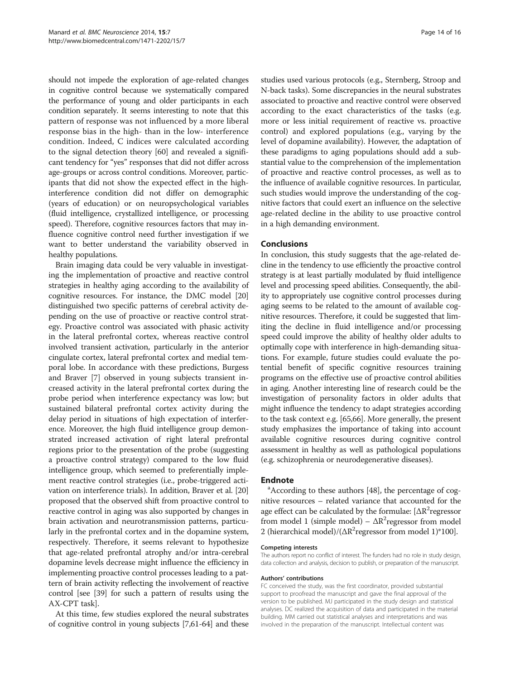should not impede the exploration of age-related changes in cognitive control because we systematically compared the performance of young and older participants in each condition separately. It seems interesting to note that this pattern of response was not influenced by a more liberal response bias in the high- than in the low- interference condition. Indeed, C indices were calculated according to the signal detection theory [\[60\]](#page-15-0) and revealed a significant tendency for "yes" responses that did not differ across age-groups or across control conditions. Moreover, participants that did not show the expected effect in the highinterference condition did not differ on demographic (years of education) or on neuropsychological variables (fluid intelligence, crystallized intelligence, or processing speed). Therefore, cognitive resources factors that may influence cognitive control need further investigation if we want to better understand the variability observed in healthy populations.

Brain imaging data could be very valuable in investigating the implementation of proactive and reactive control strategies in healthy aging according to the availability of cognitive resources. For instance, the DMC model [[20](#page-14-0)] distinguished two specific patterns of cerebral activity depending on the use of proactive or reactive control strategy. Proactive control was associated with phasic activity in the lateral prefrontal cortex, whereas reactive control involved transient activation, particularly in the anterior cingulate cortex, lateral prefrontal cortex and medial temporal lobe. In accordance with these predictions, Burgess and Braver [\[7](#page-14-0)] observed in young subjects transient increased activity in the lateral prefrontal cortex during the probe period when interference expectancy was low; but sustained bilateral prefrontal cortex activity during the delay period in situations of high expectation of interference. Moreover, the high fluid intelligence group demonstrated increased activation of right lateral prefrontal regions prior to the presentation of the probe (suggesting a proactive control strategy) compared to the low fluid intelligence group, which seemed to preferentially implement reactive control strategies (i.e., probe-triggered activation on interference trials). In addition, Braver et al. [[20](#page-14-0)] proposed that the observed shift from proactive control to reactive control in aging was also supported by changes in brain activation and neurotransmission patterns, particularly in the prefrontal cortex and in the dopamine system, respectively. Therefore, it seems relevant to hypothesize that age-related prefrontal atrophy and/or intra-cerebral dopamine levels decrease might influence the efficiency in implementing proactive control processes leading to a pattern of brain activity reflecting the involvement of reactive control [see [[39](#page-14-0)] for such a pattern of results using the AX-CPT task].

At this time, few studies explored the neural substrates of cognitive control in young subjects [\[7,](#page-14-0)[61-64\]](#page-15-0) and these

studies used various protocols (e.g., Sternberg, Stroop and N-back tasks). Some discrepancies in the neural substrates associated to proactive and reactive control were observed according to the exact characteristics of the tasks (e.g. more or less initial requirement of reactive vs. proactive control) and explored populations (e.g., varying by the level of dopamine availability). However, the adaptation of these paradigms to aging populations should add a substantial value to the comprehension of the implementation of proactive and reactive control processes, as well as to the influence of available cognitive resources. In particular, such studies would improve the understanding of the cognitive factors that could exert an influence on the selective age-related decline in the ability to use proactive control in a high demanding environment.

#### Conclusions

In conclusion, this study suggests that the age-related decline in the tendency to use efficiently the proactive control strategy is at least partially modulated by fluid intelligence level and processing speed abilities. Consequently, the ability to appropriately use cognitive control processes during aging seems to be related to the amount of available cognitive resources. Therefore, it could be suggested that limiting the decline in fluid intelligence and/or processing speed could improve the ability of healthy older adults to optimally cope with interference in high-demanding situations. For example, future studies could evaluate the potential benefit of specific cognitive resources training programs on the effective use of proactive control abilities in aging. Another interesting line of research could be the investigation of personality factors in older adults that might influence the tendency to adapt strategies according to the task context e.g. [\[65,66](#page-15-0)]. More generally, the present study emphasizes the importance of taking into account available cognitive resources during cognitive control assessment in healthy as well as pathological populations (e.g. schizophrenia or neurodegenerative diseases).

#### **Endnote**

According to these authors [\[48\]](#page-14-0), the percentage of cognitive resources – related variance that accounted for the age effect can be calculated by the formulae:  $[{\Delta}R^2$ regressor from model 1 (simple model) –  $\Delta R^2$ regressor from model 2 (hierarchical model)/( $\Delta R^2$ regressor from model 1)\*100].

#### Competing interests

The authors report no conflict of interest. The funders had no role in study design, data collection and analysis, decision to publish, or preparation of the manuscript.

#### Authors' contributions

FC conceived the study, was the first coordinator, provided substantial support to proofread the manuscript and gave the final approval of the version to be published. MJ participated in the study design and statistical analyses. DC realized the acquisition of data and participated in the material building. MM carried out statistical analyses and interpretations and was involved in the preparation of the manuscript. Intellectual content was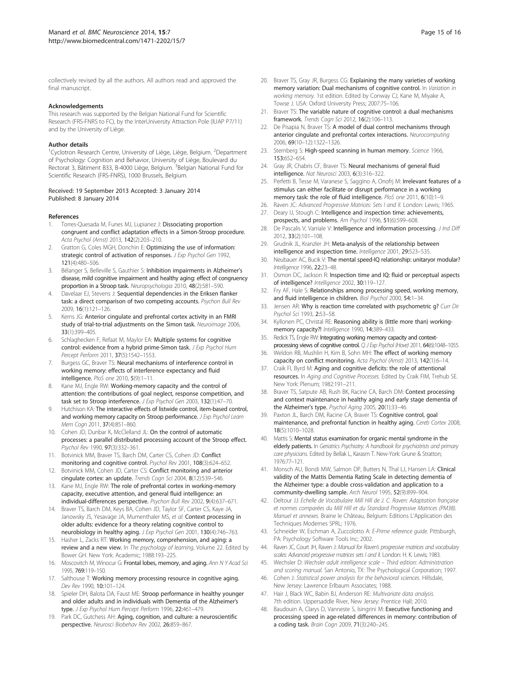<span id="page-14-0"></span>collectively revised by all the authors. All authors read and approved the final manuscript.

#### Acknowledgements

This research was supported by the Belgian National Fund for Scientific Research (FRS-FNRS to FC), by the InterUniversity Attraction Pole (IUAP P7/11) and by the University of Liège.

#### Author details

<sup>1</sup> Cyclotron Research Centre, University of Liège, Liège, Belgium. <sup>2</sup> Department of Psychology: Cognition and Behavior, University of Liège, Boulevard du Rectorat 3, Bâtiment B33, B-4000 Liège, Belgium. <sup>3</sup>Belgian National Fund for Scientific Research (FRS-FNRS), 1000 Brussels, Belgium.

#### Received: 19 September 2013 Accepted: 3 January 2014 Published: 8 January 2014

#### References

- 1. Torres-Quesada M, Funes MJ, Lupianez J: Dissociating proportion congruent and conflict adaptation effects in a Simon-Stroop procedure. Acta Psychol (Amst) 2013, 142(2):203–210.
- 2. Gratton G, Coles MGH, Donchin E: Optimizing the use of information: strategic control of activation of responses. J Exp Psychol Gen 1992, 121(4):480–506.
- 3. Bélanger S, Belleville S, Gauthier S: Inhibition impairments in Alzheimer's disease, mild cognitive impairment and healthy aging: effect of congruency proportion in a Stroop task. Neuropsychologia 2010, 48(2):581–590.
- 4. Davelaar EJ, Stevens J: Sequential dependencies in the Eriksen flanker task: a direct comparison of two competing accounts. Psychon Bull Rev 2009, 16(1):121–126.
- Kerns JG: Anterior cingulate and prefrontal cortex activity in an FMRI study of trial-to-trial adjustments on the Simon task. Neuroimage 2006, 33(1):399–405.
- Schlaghecken F, Refaat M, Maylor EA: Multiple systems for cognitive control: evidence from a hybrid prime-Simon task. J Exp Psychol Hum Percept Perform 2011, 37(5):1542–1553.
- 7. Burgess GC, Braver TS: Neural mechanisms of interference control in working memory: effects of interference expectancy and fluid intelligence. PloS one 2010, 5(9):1–11.
- Kane MJ, Engle RW: Working-memory capacity and the control of attention: the contributions of goal neglect, response competition, and task set to Stroop interference. J Exp Psychol Gen 2003, 132(1):47–70.
- 9. Hutchison KA: The interactive effects of listwide control, item-based control, and working memory capacity on Stroop performance. J Exp Psychol Learn Mem Cogn 2011, 37(4):851–860.
- 10. Cohen JD, Dunbar K, McClelland JL: On the control of automatic processes: a parallel distributed processing account of the Stroop effect. Psychol Rev 1990, 97(3):332–361.
- 11. Botvinick MM, Braver TS, Barch DM, Carter CS, Cohen JD: Conflict monitoring and cognitive control. Psychol Rev 2001, 108(3):624–652.
- 12. Botvinick MM, Cohen JD, Carter CS: Conflict monitoring and anterior cingulate cortex: an update. Trends Cogn Sci 2004, 8(12):539–546.
- 13. Kane MJ, Engle RW: The role of prefrontal cortex in working-memory capacity, executive attention, and general fluid intelligence: an individual-differences perspective. Psychon Bull Rev 2002, 9(4):637–671.
- 14. Braver TS, Barch DM, Keys BA, Cohen JD, Taylor SF, Carter CS, Kaye JA, Janowsky JS, Yesavage JA, Mumenthaler MS, et al: Context processing in older adults: evidence for a theory relating cognitive control to neurobiology in healthy aging. J Exp Psychol Gen 2001, 130(4):746-763.
- 15. Hasher L, Zacks RT: Working memory, comprehension, and aging: a review and a new view. In The psychology of learning, Volume 22. Edited by Bower GH. New York: Academic; 1988:193–225.
- 16. Moscovitch M, Winocur G: Frontal lobes, memory, and aging. Ann N Y Acad Sci 1995, 769:119–150.
- 17. Salthouse T: Working memory processing resource in cognitive aging. Dev Rev 1990, 10:101–124.
- 18. Spieler DH, Balota DA, Faust ME: Stroop performance in healthy younger and older adults and in individuals with Dementia of the Alzheimer's type. J Exp Psychol Hum Percept Perform 1996, 22:461-479.
- 19. Park DC, Gutchess AH: Aging, cognition, and culture: a neuroscientific perspective. Neurosci Biobehav Rev 2002, 26:859–867.
- 20. Braver TS, Gray JR, Burgess CG: Explaining the many varieties of working memory variation: Dual mechanisms of cognitive control. In Variation in working memory. 1st edition. Edited by Conway CJ, Kane M, Miyake A, Towse J. USA: Oxford University Press; 2007:75–106.
- 21. Braver TS: The variable nature of cognitive control: a dual mechanisms framework. Trends Cogn Sci 2012, 16(2):106–113.
- 22. De Pisapia N, Braver TS: A model of dual control mechanisms through anterior cingulate and prefrontal cortex interactions. Neurocomputing 2006, 69(10–12):1322–1326.
- 23. Sternberg S: High-speed scanning in human memory. Science 1966, 153:652–654.
- 24. Gray JR, Chabris CF, Braver TS: Neural mechanisms of general fluid intelligence. Nat Neurosci 2003, 6(3):316–322.
- 25. Perfetti B, Tesse M, Varanese S, Saggino A, Onofrj M: Irrelevant features of a stimulus can either facilitate or disrupt performance in a working memory task: the role of fluid intelligence. PloS one 2011, 6(10):1-9.
- 26. Raven JC: Advanced Progressive Matrices: Sets I and II. London: Lewis; 1965.
- 27. Deary IJ, Stough C: Intelligence and inspection time: achievements, prospects, and problems. Am Psychol 1996, 51(6):599–608.
- 28. De Pascalis V, Varriale V: Intelligence and information processing. J Ind Diff 2012, 33(2):101–108.
- 29. Grudnik JL, Kranzler JH: Meta-analysis of the relationship between intelligence and inspection time. Intelligence 2001, 29:523–535.
- 30. Neubauer AC, Bucik V: The mental speed-IQ relationship: unitaryor modular? Intelligence 1996, 22:23–48.
- 31. Osmon DC, Jackson R: Inspection time and IQ: fluid or perceptual aspects of intelligence? Intelligence 2002, 30:119–127.
- 32. Fry AF, Hale S: Relationships among processing speed, working memory, and fluid intelligence in children. Biol Psychol 2000, 54:1-34.
- 33. Jensen AR: Why is reaction time correlated with psychometric g? Curr Dir Psychol Sci 1993, 2:53–58.
- 34. Kyllonen PC, Christal RE: Reasoning ability is (little more than) workingmemory capacity?! Intelligence 1990, 14:389-433.
- 35. Redick TS, Engle RW: Integrating working memory capacity and contextprocessing views of cognitive control. Q J Exp Psychol (Hove) 2011, 64(6):1048-1055.
- 36. Weldon RB, Mushlin H, Kim B, Sohn MH: The effect of working memory capacity on conflict monitoring. Acta Psychol (Amst) 2013, 142(1):6–14.
- 37. Craik FI, Byrd M: Aging and cognitive deficits: the role of attentional resources. In Aging and Cognitive Processes. Edited by Craik FIM, Trehub SE. New York: Plenum; 1982:191–211.
- 38. Braver TS, Satpute AB, Rush BK, Racine CA, Barch DM: Context processing and context maintenance in healthy aging and early stage dementia of the Alzheimer's type. Psychol Aging 2005, 20(1):33–46.
- 39. Paxton JL, Barch DM, Racine CA, Braver TS: Cognitive control, goal maintenance, and prefrontal function in healthy aging. Cereb Cortex 2008, 18(5):1010–1028.
- 40. Mattis S: Mental status examination for organic mental syndrome in the elderly patients. In Geriatrics Psychiatry: A handbook for psychiatrists and primary care physicians. Edited by Bellak L, Karasm T. New-York: Grune & Stratton; 1976:77–121.
- 41. Monsch AU, Bondi MW, Salmon DP, Butters N, Thal LJ, Hansen LA: Clinical validity of the Mattis Dementia Rating Scale in detecting dementia of the Alzheimer type: a double cross-validation and application to a community-dwelling sample. Arch Neurol 1995, 52(9):899–904.
- 42. Deltour JJ: Echelle de Vocabulaire Mill Hill de J. C. Raven: Adaptation française et normes comparées du Mill Hill et du Standard Progressive Matrices (PM38). Manuel et annexes. Braine le Château, Belgium: Editions L'Application des Techniques Modernes SPRL; 1976.
- 43. Schneider W, Eschman A, Zuccolotto A: E-Prime reference quide. Pittsburgh, PA: Psychology Software Tools Inc; 2002.
- 44. Raven JC, Court JH, Raven J: Manual for Raven's progressive matrices and vocabulary scales: Advanced progressive matrices sets I and II. London: H. K. Lewis; 1983.
- 45. Wechsler D: Wechsler adult intelligence scale Third edition: Administration and scoring manual. San Antonio, TX: The Psychological Corporation; 1997.
- 46. Cohen J: Statistical power analysis for the behavioral sciences. Hillsdale, New Jersey: Lawrence Erlbaum Associates; 1988.
- 47. Hair J, Black WC, Babin BJ, Anderson RE: Multivariate data analysis. 7th edition. Uppersaddle River, New Jersey: Prentice Hall; 2010.
- 48. Baudouin A, Clarys D, Vanneste S, Isingrini M: Executive functioning and processing speed in age-related differences in memory: contribution of a coding task. Brain Cogn 2009, 71(3):240–245.